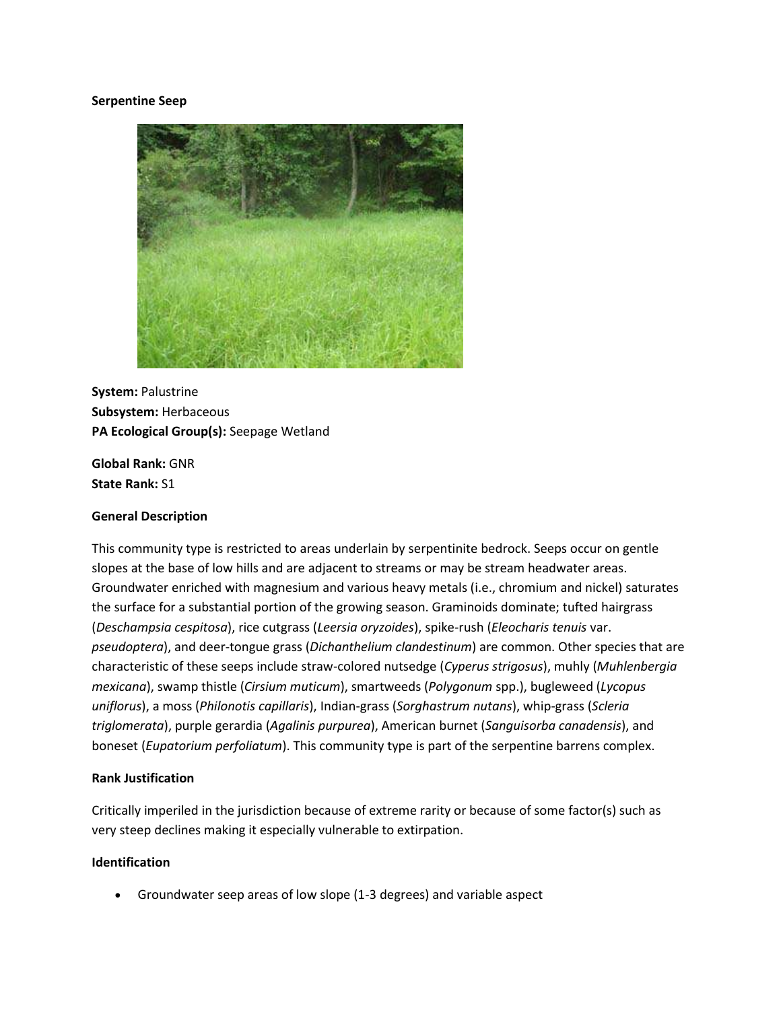#### **Serpentine Seep**



**System:** Palustrine **Subsystem:** Herbaceous **PA Ecological Group(s):** Seepage Wetland

**Global Rank:** GNR **State Rank:** S1

## **General Description**

This community type is restricted to areas underlain by serpentinite bedrock. Seeps occur on gentle slopes at the base of low hills and are adjacent to streams or may be stream headwater areas. Groundwater enriched with magnesium and various heavy metals (i.e., chromium and nickel) saturates the surface for a substantial portion of the growing season. Graminoids dominate; tufted hairgrass (*Deschampsia cespitosa*), rice cutgrass (*Leersia oryzoides*), spike-rush (*Eleocharis tenuis* var. *pseudoptera*), and deer-tongue grass (*Dichanthelium clandestinum*) are common. Other species that are characteristic of these seeps include straw-colored nutsedge (*Cyperus strigosus*), muhly (*Muhlenbergia mexicana*), swamp thistle (*Cirsium muticum*), smartweeds (*Polygonum* spp.), bugleweed (*Lycopus uniflorus*), a moss (*Philonotis capillaris*), Indian-grass (*Sorghastrum nutans*), whip-grass (*Scleria triglomerata*), purple gerardia (*Agalinis purpurea*), American burnet (*Sanguisorba canadensis*), and boneset (*Eupatorium perfoliatum*). This community type is part of the serpentine barrens complex.

#### **Rank Justification**

Critically imperiled in the jurisdiction because of extreme rarity or because of some factor(s) such as very steep declines making it especially vulnerable to extirpation.

### **Identification**

Groundwater seep areas of low slope (1-3 degrees) and variable aspect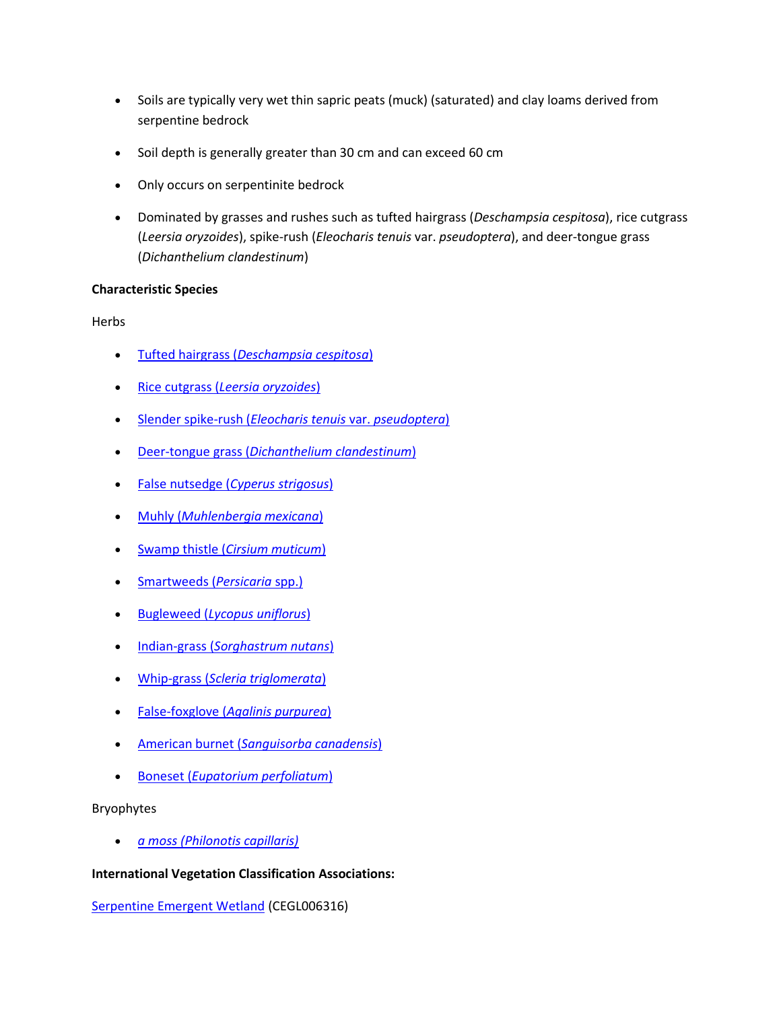- Soils are typically very wet thin sapric peats (muck) (saturated) and clay loams derived from serpentine bedrock
- Soil depth is generally greater than 30 cm and can exceed 60 cm
- Only occurs on serpentinite bedrock
- Dominated by grasses and rushes such as tufted hairgrass (*Deschampsia cespitosa*), rice cutgrass (*Leersia oryzoides*), spike-rush (*Eleocharis tenuis* var. *pseudoptera*), and deer-tongue grass (*Dichanthelium clandestinum*)

## **Characteristic Species**

Herbs

- Tufted hairgrass (*[Deschampsia cespitosa](http://www.natureserve.org/explorer/servlet/NatureServe?searchName=Deschampsia+cespitosa)*)
- Rice cutgrass (*[Leersia oryzoides](http://www.natureserve.org/explorer/servlet/NatureServe?searchName=Leersia+oryzoides)*)
- [Slender spike-rush \(](http://www.natureserve.org/explorer/servlet/NatureServe?searchName=Eleocharis+tenuis+var.+pseudoptera)*Eleocharis tenuis* var. *pseudoptera*)
- Deer-tongue grass (*[Dichanthelium clandestinum](http://www.natureserve.org/explorer/servlet/NatureServe?searchName=Dichanthelium+clandestinum)*)
- False nutsedge (*[Cyperus strigosus](http://www.natureserve.org/explorer/servlet/NatureServe?searchName=Cyperus+strigosus)*)
- Muhly (*[Muhlenbergia mexicana](http://www.natureserve.org/explorer/servlet/NatureServe?searchName=Muhlenbergia+mexicana)*)
- Swamp thistle (*[Cirsium muticum](http://www.natureserve.org/explorer/servlet/NatureServe?searchName=Cirsium+muticum)*)
- [Smartweeds \(](http://www.natureserve.org/explorer/servlet/NatureServe?searchSciOrCommonName=Polygonum)*Persicaria* spp.)
- Bugleweed (*[Lycopus uniflorus](http://www.natureserve.org/explorer/servlet/NatureServe?searchName=Lycopus+uniflorus)*)
- Indian-grass (*[Sorghastrum nutans](http://www.natureserve.org/explorer/servlet/NatureServe?searchName=Sorghastrum+nutans)*)
- Whip-grass (*[Scleria triglomerata](http://www.natureserve.org/explorer/servlet/NatureServe?searchName=Scleria+triglomerata)*)
- False-foxglove (*[Agalinis purpurea](http://www.natureserve.org/explorer/servlet/NatureServe?searchName=Agalinis+purpurea)*)
- American burnet (*[Sanguisorba canadensis](http://www.natureserve.org/explorer/servlet/NatureServe?searchName=Sanguisorba+canadensis)*)
- Boneset (*[Eupatorium perfoliatum](http://www.natureserve.org/explorer/servlet/NatureServe?searchName=Eupatorium+perfoliatum)*)

Bryophytes

*[a moss \(Philonotis capillaris\)](http://www.natureserve.org/explorer/servlet/NatureServe?searchName=Philonotis+capillaris)*

# **International Vegetation Classification Associations:**

[Serpentine Emergent Wetland](http://www.natureserve.org/explorer/servlet/NatureServe?searchCommunityUid=ELEMENT_GLOBAL.2.787677) (CEGL006316)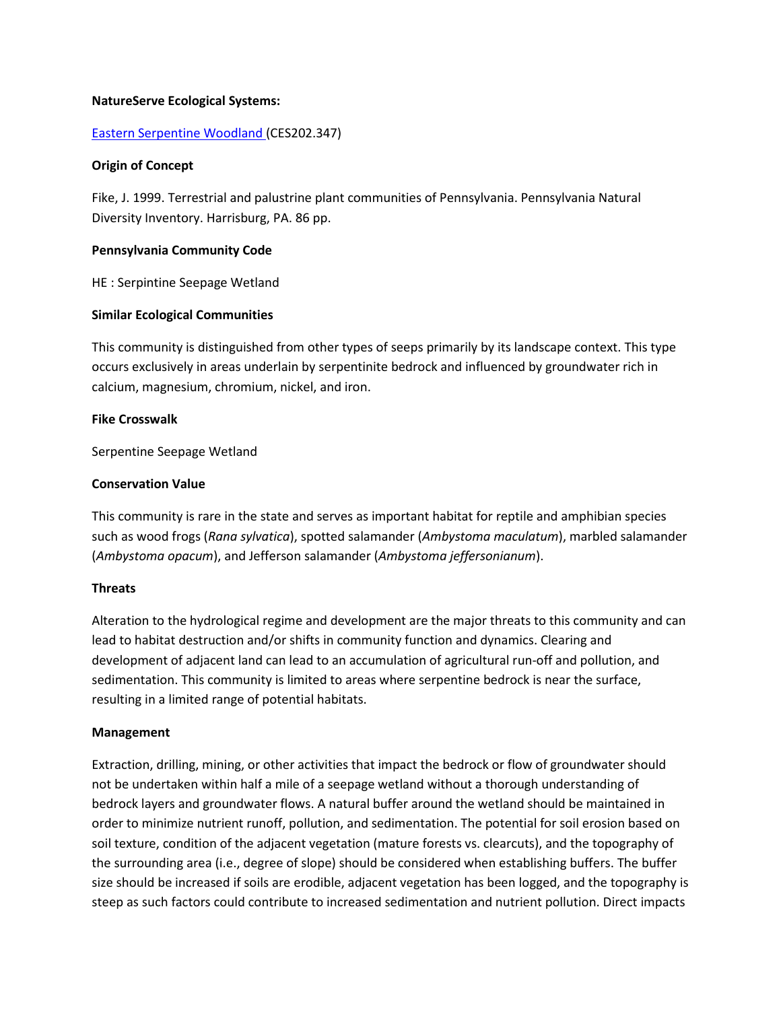### **NatureServe Ecological Systems:**

### [Eastern Serpentine Woodland \(](http://www.natureserve.org/explorer/servlet/NatureServe?searchSystemUid=ELEMENT_GLOBAL.2.723163)CES202.347)

#### **Origin of Concept**

Fike, J. 1999. Terrestrial and palustrine plant communities of Pennsylvania. Pennsylvania Natural Diversity Inventory. Harrisburg, PA. 86 pp.

### **Pennsylvania Community Code**

HE : Serpintine Seepage Wetland

### **Similar Ecological Communities**

This community is distinguished from other types of seeps primarily by its landscape context. This type occurs exclusively in areas underlain by serpentinite bedrock and influenced by groundwater rich in calcium, magnesium, chromium, nickel, and iron.

### **Fike Crosswalk**

Serpentine Seepage Wetland

### **Conservation Value**

This community is rare in the state and serves as important habitat for reptile and amphibian species such as wood frogs (*Rana sylvatica*), spotted salamander (*Ambystoma maculatum*), marbled salamander (*Ambystoma opacum*), and Jefferson salamander (*Ambystoma jeffersonianum*).

#### **Threats**

Alteration to the hydrological regime and development are the major threats to this community and can lead to habitat destruction and/or shifts in community function and dynamics. Clearing and development of adjacent land can lead to an accumulation of agricultural run-off and pollution, and sedimentation. This community is limited to areas where serpentine bedrock is near the surface, resulting in a limited range of potential habitats.

#### **Management**

Extraction, drilling, mining, or other activities that impact the bedrock or flow of groundwater should not be undertaken within half a mile of a seepage wetland without a thorough understanding of bedrock layers and groundwater flows. A natural buffer around the wetland should be maintained in order to minimize nutrient runoff, pollution, and sedimentation. The potential for soil erosion based on soil texture, condition of the adjacent vegetation (mature forests vs. clearcuts), and the topography of the surrounding area (i.e., degree of slope) should be considered when establishing buffers. The buffer size should be increased if soils are erodible, adjacent vegetation has been logged, and the topography is steep as such factors could contribute to increased sedimentation and nutrient pollution. Direct impacts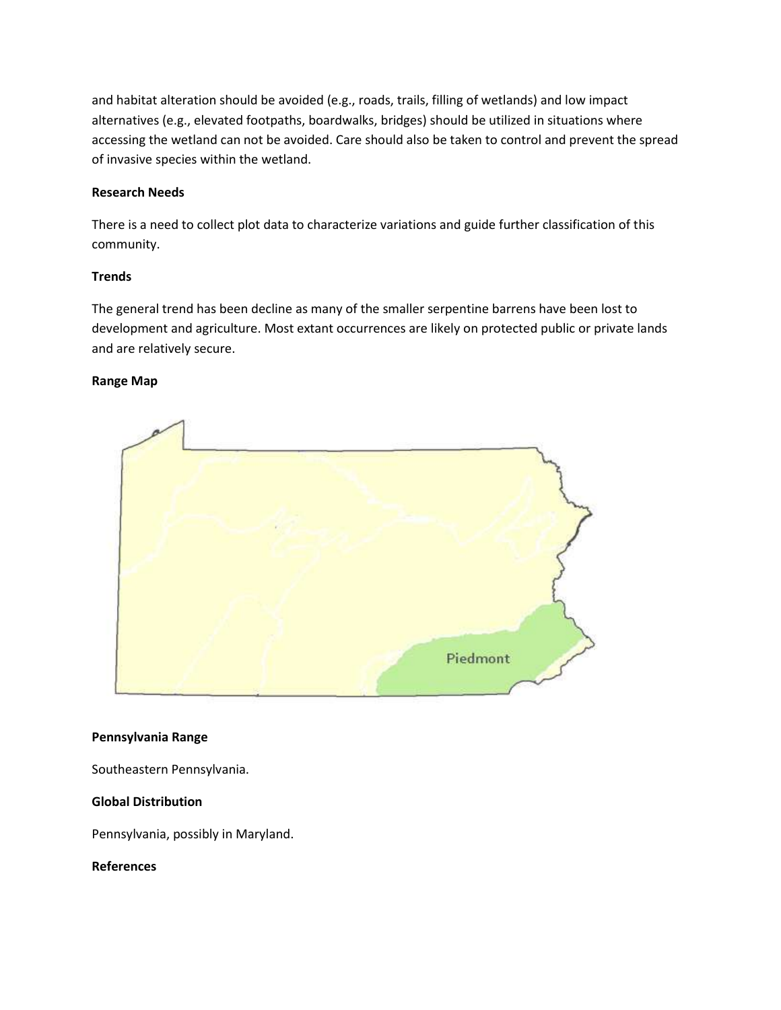and habitat alteration should be avoided (e.g., roads, trails, filling of wetlands) and low impact alternatives (e.g., elevated footpaths, boardwalks, bridges) should be utilized in situations where accessing the wetland can not be avoided. Care should also be taken to control and prevent the spread of invasive species within the wetland.

## **Research Needs**

There is a need to collect plot data to characterize variations and guide further classification of this community.

## **Trends**

The general trend has been decline as many of the smaller serpentine barrens have been lost to development and agriculture. Most extant occurrences are likely on protected public or private lands and are relatively secure.

## **Range Map**



## **Pennsylvania Range**

Southeastern Pennsylvania.

## **Global Distribution**

Pennsylvania, possibly in Maryland.

**References**